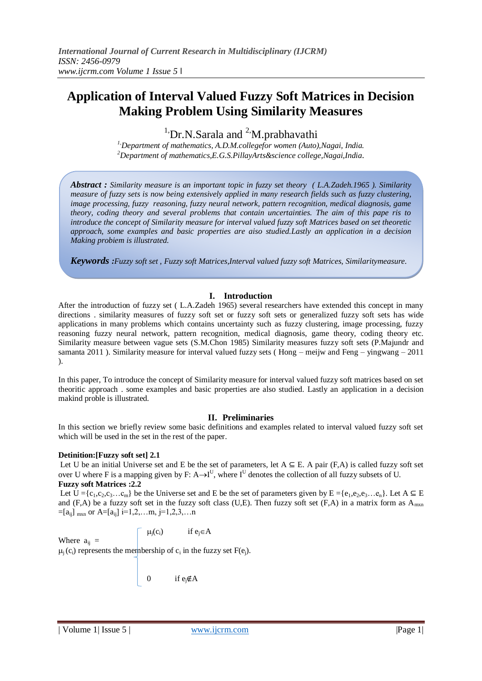# **Application of Interval Valued Fuzzy Soft Matrices in Decision Making Problem Using Similarity Measures**

 $1$ ,Dr.N.Sarala and  $2$ ,M.prabhavathi

*1,Department of mathematics, A.D.M.collegefor women (Auto),Nagai, India. <sup>2</sup>Department of mathematics,E.G.S.PillayArts&science college,Nagai,India.*

*Abstract : Similarity measure is an important topic in fuzzy set theory ( L.A.Zadeh.1965 ). Similarity measure of fuzzy sets is now being extensively applied in many research fields such as fuzzy clustering, image processing, fuzzy reasoning, fuzzy neural network, pattern recognition, medical diagnosis, game theory, coding theory and several problems that contain uncertainties. The aim of this pape ris to introduce the concept of Similarity measure for interval valued fuzzy soft Matrices based on set theoretic approach, some examples and basic properties are aiso studied.Lastly an application in a decision Making probiem is illustrated.*

*Keywords :Fuzzy soft set , Fuzzy soft Matrices,Interval valued fuzzy soft Matrices, Similaritymeasure.*

# **I. Introduction**

After the introduction of fuzzy set ( L.A.Zadeh 1965) several researchers have extended this concept in many directions . similarity measures of fuzzy soft set or fuzzy soft sets or generalized fuzzy soft sets has wide applications in many problems which contains uncertainty such as fuzzy clustering, image processing, fuzzy reasoning fuzzy neural network, pattern recognition, medical diagnosis, game theory, coding theory etc. Similarity measure between vague sets (S.M.Chon 1985) Similarity measures fuzzy soft sets (P.Majundr and samanta 2011). Similarity measure for interval valued fuzzy sets (Hong – meijw and Feng – yingwang – 2011 ).

In this paper, To introduce the concept of Similarity measure for interval valued fuzzy soft matrices based on set theoritic approach . some examples and basic properties are also studied. Lastly an application in a decision makind proble is illustrated.

# **II. Preliminaries**

In this section we briefly review some basic definitions and examples related to interval valued fuzzy soft set which will be used in the set in the rest of the paper.

# **Detinition:[Fuzzy soft set] 2.1**

Let U be an initial Universe set and E be the set of parameters, let  $A \subseteq E$ . A pair (F,A) is called fuzzy soft set over U where F is a mapping given by F:  $A \rightarrow I^U$ , where I<sup>U</sup> denotes the collection of all fuzzy subsets of U. **Fuzzy soft Matrices :2.2**

Let  $U = \{c_1, c_2, c_3, \dots c_m\}$  be the Universe set and E be the set of parameters given by  $E = \{e_1, e_2, e_3, \dots e_n\}$ . Let  $A \subseteq E$ and (F,A) be a fuzzy soft set in the fuzzy soft class (U,E). Then fuzzy soft set (F,A) in a matrix form as  $A_{\text{max}}$  $=[a_{ii}]_{max}$  or A=[ $a_{ii}$ ] i=1,2,...m, j=1,2,3,...n

$$
\mu_j(c_i) \hspace{1cm} \text{if } e_j \in A
$$

Where  $a_{ii}$  =  $\mu_j(c_i)$  represents the membership of  $c_i$  in the fuzzy set  $F(e_j)$ .

0 if  $e_i \notin A$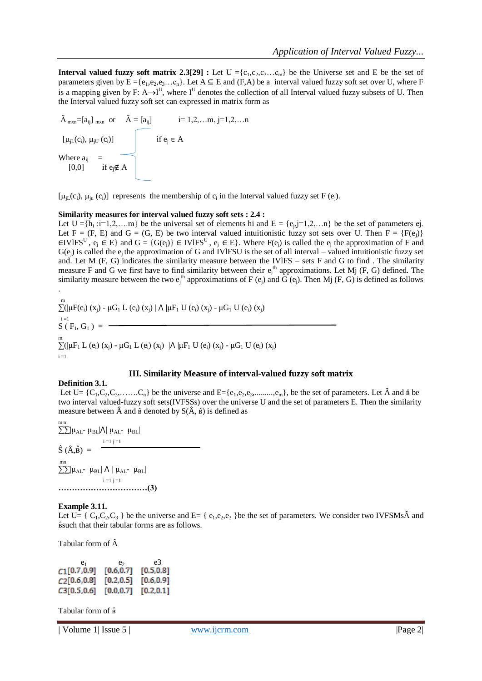**Interval valued fuzzy soft matrix 2.3[29] <b>:** Let  $U = \{c_1, c_2, c_3, \dots, c_m\}$  be the Universe set and E be the set of parameters given by  $E = \{e_1, e_2, e_3, \dots, e_n\}$ . Let  $A \subseteq E$  and  $(F, A)$  be a interval valued fuzzy soft set over U, where F is a mapping given by F: A $\rightarrow$ I<sup>U</sup>, where I<sup>U</sup> denotes the collection of all Interval valued fuzzy subsets of U. Then the Interval valued fuzzy soft set can expressed in matrix form as

$$
\tilde{A}_{mxn} = [a_{ij}]_{mxn} \text{ or } \tilde{A} = [a_{ij}] \qquad i = 1, 2, \dots m, j = 1, 2, \dots n
$$
\n
$$
[\mu_{jL}(c_i), \mu_{jU}(c_i)] \qquad \text{if } e_j \in A
$$
\n
$$
\text{Where } a_{ij} = [0,0] \qquad \text{if } e_j \notin A
$$

[ $\mu_{jl}(c_i)$ ,  $\mu_{ju}(c_i)$ ] represents the membership of  $c_i$  in the Interval valued fuzzy set F (e<sub>j</sub>).

#### **Similarity measures for interval valued fuzzy soft sets : 2.4 :**

Let  $U = \{h_i : i=1,2,...m\}$  be the universal set of elements hi and  $E = \{e_j, j=1,2,...n\}$  be the set of parameters ej. Let  $F = (F, E)$  and  $G = (G, E)$  be two interval valued intuitionistic fuzzy sot sets over U. Then  $F = \{F(e_i)\}\$ ∈IVIFS<sup>U</sup>,  $e_j$  ∈ E} and G = {G(e<sub>j</sub>)} ∈ IVIFS<sup>U</sup>,  $e_j$  ∈ E}. Where F( $e_j$ ) is called the  $e_j$  the approximation of F and  $G(e_i)$  is called the  $e_i$  the approximation of G and IVIFSU is the set of all interval – valued intuitionistic fuzzy set and. Let M (F, G) indicates the similarity measure between the IVlFS – sets F and G to find . The similarity measure F and G we first have to find similarity between their  $e_j$ <sup>th</sup> approximations. Let Mj (F, G) defined. The similarity measure between the two  $e_j^{\text{th}}$  approximations of F  $(e_j)$  and G  $(e_j)$ . Then Mj  $(F, G)$  is defined as follows .

m<br>  $\sum_{i=1}^{m}$  (μF(e<sub>i</sub>) (x<sub>j</sub>) - μG<sub>1</sub> L (e<sub>i</sub>) (x<sub>j</sub>) | Λ |μF<sub>1</sub> U (e<sub>i</sub>) (x<sub>j</sub>) - μG<sub>1</sub> U (e<sub>i</sub>) (x<sub>j</sub>)  $i = 1$  $S(F_1, G_1) =$ m<br>  $\sum^{\rm m} ( \vert\mu {\rm F}_{1}$  L (e<sub>i</sub>) (x<sub>j</sub>) - μG<sub>1</sub> L (e<sub>i</sub>) (x<sub>j</sub>) |Λ  $\vert\mu {\rm F}_{1}$  U (e<sub>i</sub>) (x<sub>j</sub>) - μG<sub>1</sub> U (e<sub>i</sub>) (x<sub>j</sub>)  $i = 1$ 

# **III. Similarity Measure of interval-valued fuzzy soft matrix**

#### **Definition 3.1.**

Let  $U = \{C_1, C_2, C_3, \ldots, C_n\}$  be the universe and  $E = \{e_1, e_2, e_3, \ldots, e_m\}$ , be the set of parameters. Let  $\hat{A}$  and  $\hat{B}$  be two interval valued-fuzzy soft sets(IVFSSs) over the universe U and the set of parameters E. Then the similarity measure between  $\hat{A}$  and  $\hat{B}$  denoted by  $S(\hat{A}, \hat{B})$  is defined as

m n<br>∑∑|μ<sub>AL</sub>- μ<sub>BL</sub>|Λ| μ<sub>AL</sub>- μ<sub>BL</sub>|  $\hat{S}(\hat{A}, \hat{B}) = \frac{1 - 1 j - 1}{n}$ mn  $\sum$ [μ<sub>AL</sub>- μ<sub>BL</sub>]  $\Lambda$  | μ<sub>AL</sub>- μ<sub>BL</sub>]  $i = 1$  j = 1 **……………………………(3)**

#### **Example 3.11.**

Let U= { $C_1, C_2, C_3$ } be the universe and E= { $e_1, e_2, e_3$ } be the set of parameters. We consider two IVFSMs and ʙ̂such that their tabular forms are as follows.

Tabular form of Â

| e1             | e٠         | e3         |
|----------------|------------|------------|
| $C1$ [0.7,0.9] | [0.6, 0.7] | [0.5, 0.8] |
| C2[0.6, 0.8]   | [0.2, 0.5] | [0.6, 0.9] |
| C3[0.5, 0.6]   | [0.0, 0.7] | [0.2, 0.1] |

Tabular form of  $\hat{B}$ 

| Volume 1| Issue 5 | www.ijcrm.com |Page 2|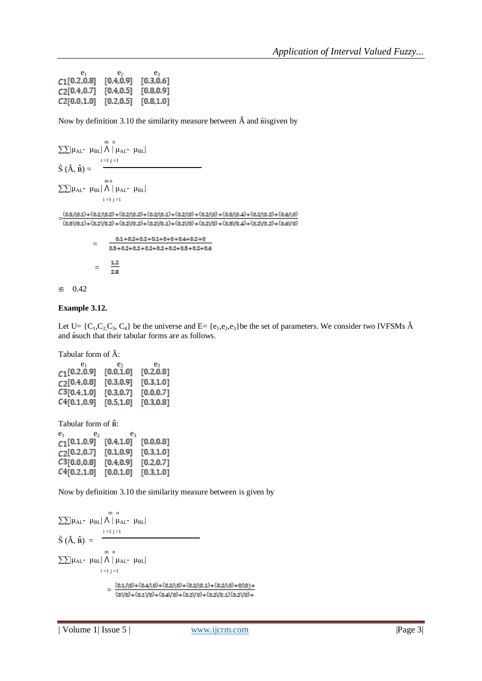| e1           | e٠         | e,         |
|--------------|------------|------------|
| C1[0.2, 0.8] | [0.4, 0.9] | [0.3, 0.6] |
| C2[0.4, 0.7] | [0.4, 0.5] | [0.8, 0.9] |
| C2[0.0, 1.0] | [0.2, 0.5] | [0.8, 1.0] |

Now by definition 3.10 the similarity measure between  $\hat{A}$  and  $\hat{B}$ isgiven by

$$
\sum \left| \mu_{AL} - \mu_{BL} \right| \bigwedge_{i=1}^{m} \left| \mu_{AL} - \mu_{BL} \right|
$$
\n
$$
\hat{S}(\hat{A}, \hat{B}) = \sum_{i=1}^{m} \left| \mu_{AL} - \mu_{BL} \right|
$$
\n
$$
\sum \left| \mu_{AL} - \mu_{BL} \right| \bigwedge_{i=1}^{m} \left| \mu_{AL} - \mu_{BL} \right|
$$
\n
$$
\frac{(0.5 \wedge 0.1) + (0.2 \wedge 0.2) + (0.2 \wedge 0.2) + (0.2 \wedge 0.1) + (0.2 \wedge 0) + (0.2 \wedge 0) + (0.5 \wedge 0.4) + (0.2 \wedge 0.2) + (0.6 \wedge 0)}{-(0.5 \vee 0.1) + (0.2 \vee 0.2) + (0.2 \vee 0.2) + (0.2 \vee 0.1) + (0.2 \vee 0.1) + (0.2 \vee 0) + (0.2 \vee 0) + (0.5 \vee 0.4) + (0.2 \vee 0.2) + (0.6 \vee 0)} = \frac{0.1 + 0.2 + 0.2 + 0.1 + 0 + 0 + 0.4 + 0.2 + 0}{0.5 + 0.2 + 0.2 + 0.2 + 0.2 + 0.2 + 0.5 + 0.2 + 0.6} = \frac{1.2}{2.8}
$$

# ≌ 0.42

# **Example 3.12.**

Let  $U = \{C_1, C_2, C_3, C_4\}$  be the universe and  $E = \{e_1, e_2, e_3\}$  be the set of parameters. We consider two IVFSMs  $\hat{A}$ and  $\hat{a}$ such that their tabular forms are as follows.

Tabular form of Â:

| e1           | e›         | e٦         |
|--------------|------------|------------|
| C1[0.2, 0.9] | [0.0, 1.0] | [0.2, 0.8] |
| C2[0.4, 0.8] | [0.3, 0.9] | [0.3, 1.0] |
| C3[0.4, 1.0] | [0.3, 0.7] | [0.0, 0.7] |
| C4[0.1, 0.9] | [0.5, 1.0] | [0.3, 0.8] |

Tabular form of  $\hat{B}$ :

| e <sub>1</sub> | e          | e٩ |            |
|----------------|------------|----|------------|
| C1[0.1, 0.9]   | [0.4, 1.0] |    | [0.0, 0.8] |
| C2[0.2, 0.7]   | [0.1, 0.9] |    | [0.3, 1.0] |
| C3[0.0, 0.8]   | [0.4, 0.9] |    | [0.2, 0.7] |
| C4[0.2,1.0]    | [0.0, 1.0] |    | [0.3, 1.0] |

Now by definition 3.10 the similarity measure between is given by

$$
\begin{aligned} & \sum \sum |\mu_{AL^-} \ \mu_{BL}| \ \Lambda \ | \ \mu_{AL^-} \ \mu_{BL}| \\ & \hat{S} \ (\hat{A}, \hat{B}) \ = \\ & \sum \sum |\mu_{AL^-} \ \mu_{BL}| \ \Lambda \ | \ \mu_{AL^-} \ \mu_{BL}| \\ & \qquad \qquad \vdots \\ & \qquad \qquad \vdots \\ & \qquad \qquad \vdots \\ & \qquad \qquad \vdots \\ & \qquad \qquad \vdots \\ & \qquad \qquad \vdots \\ & \qquad \qquad \vdots \\ & \qquad \qquad \vdots \\ & \qquad \qquad \vdots \\ & \qquad \qquad \vdots \\ & \qquad \qquad \vdots \\ & \qquad \qquad \vdots \\ & \qquad \qquad \vdots \\ & \qquad \qquad \vdots \\ & \qquad \qquad \vdots \\ & \qquad \qquad \vdots \\ & \qquad \qquad \vdots \\ & \qquad \qquad \vdots \\ & \qquad \qquad \vdots \\ & \qquad \qquad \vdots \\ & \qquad \qquad \vdots \\ & \qquad \qquad \vdots \\ & \qquad \qquad \vdots \\ & \qquad \qquad \vdots \\ & \qquad \qquad \vdots \\ & \qquad \qquad \vdots \\ & \qquad \qquad \vdots \\ & \qquad \qquad \vdots \\ & \qquad \qquad \vdots \\ & \qquad \qquad \vdots \\ & \qquad \qquad \vdots \\ & \qquad \qquad \vdots \\ & \qquad \qquad \vdots \\ & \qquad \qquad \vdots \\ & \qquad \qquad \vdots \\ & \qquad \qquad \vdots \\ & \qquad \qquad \vdots \\ & \qquad \qquad \vdots \\ & \qquad \qquad \vdots \\ & \qquad \qquad \vdots \\ & \qquad \qquad \vdots \\ & \qquad \qquad \vdots \\ & \qquad \qquad \vdots \\ & \qquad \qquad \vdots \\ & \qquad \qquad \vdots \\ & \qquad \qquad \vdots \\ & \qquad \qquad \vdots \\ & \qquad \qquad \vdots \\ & \qquad \qquad \vdots \\ & \qquad \qquad \vdots \\ & \qquad \qquad \vdots \\ & \qquad \qquad \vdots \\ & \qquad \qquad \vdots \\ & \qquad \qquad \vdots \\ & \qquad \qquad \vdots \\ & \qquad \qquad \vdots \\ & \qquad \qquad \vdots \\ & \qquad \qquad \vdots \\ & \qquad \qquad \vdots \\ & \qquad \qquad \vdots \\ & \q
$$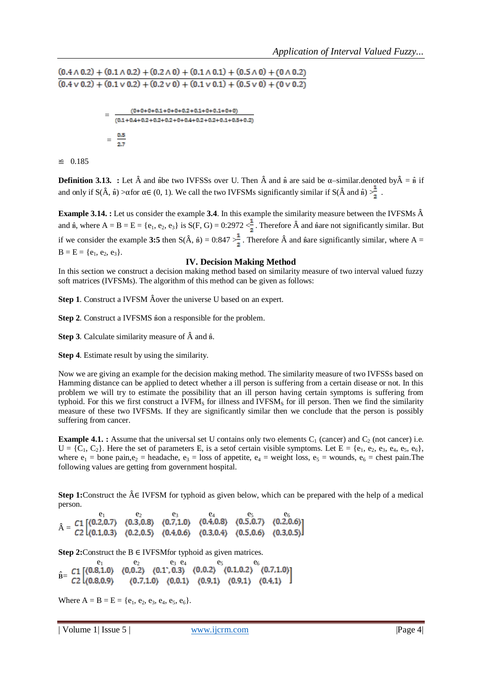$(0.4 \wedge 0.2) + (0.1 \wedge 0.2) + (0.2 \wedge 0) + (0.1 \wedge 0.1) + (0.5 \wedge 0) + (0 \wedge 0.2)$  $(0.4 \vee 0.2) + (0.1 \vee 0.2) + (0.2 \vee 0) + (0.1 \vee 0.1) + (0.5 \vee 0) + (0 \vee 0.2)$ 

$$
= \frac{(0+0+0+0.1+0+0+0.2+0.1+0+0.1+0+0)}{(0.1+0.4+0.2+0.2+0.2+0+0.4+0.2+0.2+0.1+0.5+0.2)}
$$

$$
= \frac{0.5}{2.7}
$$

≌ 0.185

**Definition 3.13.** : Let  $\hat{A}$  and  $\hat{B}$ be two IVFSSs over U. Then  $\hat{A}$  and  $\hat{B}$  are said be  $\alpha$ -similar.denoted by  $\hat{A} = \hat{B}$  if and only if  $S(\hat{A}, \hat{B}) > \alpha$  for  $\alpha \in (0, 1)$ . We call the two IVFSMs significantly similar if  $S(\hat{A} \text{ and } \hat{B}) > \frac{1}{2}$ .

**Example 3.14. :** Let us consider the example 3.4. In this example the similarity measure between the IVFSMs  $\hat{A}$ and  $\hat{\mathbf{B}}$ , where  $\mathbf{A} = \mathbf{B} = \mathbf{E} = \{\mathbf{e}_1, \mathbf{e}_2, \mathbf{e}_3\}$  is  $\mathbf{S}(\mathbf{F}, \mathbf{G}) = 0:2972 < \frac{1}{2}$ . Therefore  $\hat{\mathbf{A}}$  and  $\hat{\mathbf{B}}$  are not significantly similar. But if we consider the example 3:5 then  $S(\hat{A}, \hat{B}) = 0.847 > \frac{1}{2}$ . Therefore  $\hat{A}$  and  $\hat{B}$ are significantly similar, where A =  $B = E = \{e_1, e_2, e_3\}.$ 

# **IV. Decision Making Method**

In this section we construct a decision making method based on similarity measure of two interval valued fuzzy soft matrices (IVFSMs). The algorithm of this method can be given as follows:

**Step 1.** Construct a IVFSM Âover the universe U based on an expert.

**Step 2.** Construct a IVFSMS son a responsible for the problem.

**Step 3**. Calculate similarity measure of  $\hat{A}$  and  $\hat{B}$ .

**Step 4**. Estimate result by using the similarity.

Now we are giving an example for the decision making method. The similarity measure of two IVFSSs based on Hamming distance can be applied to detect whether a ill person is suffering from a certain disease or not. In this problem we will try to estimate the possibility that an ill person having certain symptoms is suffering from typhoid. For this we first construct a IVFM<sub>S</sub> for illness and IVFSM<sub>S</sub> for ill person. Then we find the similarity measure of these two IVFSMs. If they are significantly similar then we conclude that the person is possibly suffering from cancer.

**Example 4.1. :** Assume that the universal set U contains only two elements  $C_1$  (cancer) and  $C_2$  (not cancer) i.e.  $U = \{C_1, C_2\}$ . Here the set of parameters E, is a set of certain visible symptoms. Let  $E = \{e_1, e_2, e_3, e_4, e_5, e_6\}$ , where  $e_1$  = bone pain, $e_2$  = headache,  $e_3$  = loss of appetite,  $e_4$  = weight loss,  $e_5$  = wounds,  $e_6$  = chest pain. The following values are getting from government hospital.

**Step 1:**Construct the Â∈ IVFSM for typhoid as given below, which can be prepared with the help of a medical person.

$$
\hat{A} = \begin{array}{ccccc} e_1 & e_2 & e_3 & e_4 & e_5 & e_6 \\ C1 & (0.2,0.7) & (0.3,0.8) & (0.7,1.0) & (0.4,0.8) & (0.5,0.7) & (0.2,0.6) \\ C2 & (0.1,0.3) & (0.2,0.5) & (0.4,0.6) & (0.3,0.4) & (0.5,0.6) & (0.3,0.5) \end{array}
$$

**Step 2:**Construct the B ∈ IVFSMfor typhoid as given matrices.

 $e_1$  e<sub>2</sub> e<sub>3</sub> e<sub>4</sub> e<sub>5</sub> e<sub>6</sub>  $\hat{\mathbf{B}}=$ 

Where  $A = B = E = \{e_1, e_2, e_3, e_4, e_5, e_6\}.$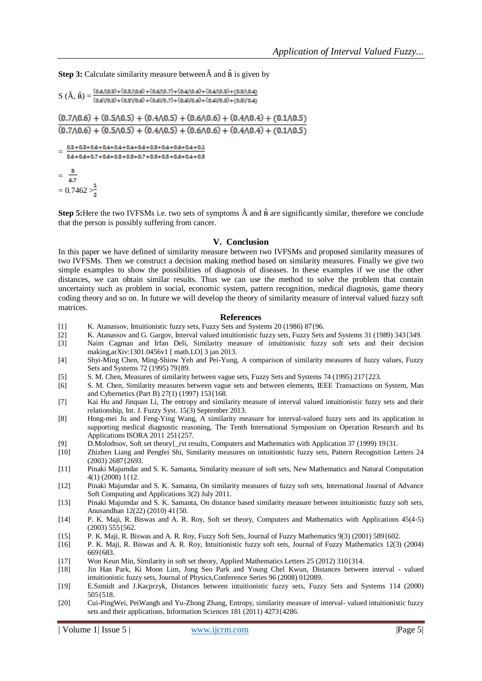**Step 3:** Calculate similarity measure between  $\hat{A}$  and  $\hat{B}$  is given by

 $S(\hat{A}, \hat{B}) = \frac{(0.6/(0.3) + (0.3/(0.6) + (0.6/(0.7)) + (0.4/(0.6) + (0.4/(0.5)) + (0.5/(0.4))))}{(0.6/(0.3) + (0.3/(0.6) + (0.6/(0.7)) + (0.4/(0.6) + (0.4/(0.5)) + (0.5/(0.4))))}$ 

 $(0.7 \wedge 0.6) + (0.5 \wedge 0.5) + (0.4 \wedge 0.5) + (0.6 \wedge 0.6) + (0.4 \wedge 0.4) + (0.1 \wedge 0.5)$  $(0.7 \wedge 0.6) + (0.5 \wedge 0.5) + (0.4 \wedge 0.5) + (0.6 \wedge 0.6) + (0.4 \wedge 0.4) + (0.1 \wedge 0.5)$ 

 $=\frac{0.3+0.3+0.6+0.4+0.4+0.6+0.5+0.4+0.6+0.4+0.1}{0.6+0.6+0.7+0.6+0.5+0.5+0.7+0.5+0.5+0.6+0.4+0.5}$ 

=  $= 0.7462$ 

**Step 5:** Here the two IVFSMs i.e. two sets of symptoms  $\hat{A}$  and  $\hat{B}$  are significantly similar, therefore we conclude that the person is possibly suffering from cancer.

### **V. Conclusion**

In this paper we have defined of similarity measure between two IVFSMs and proposed similarity measures of two IVFSMs. Then we construct a decision making method based on similarity measures. Finally we give two simple examples to show the possibilities of diagnosis of diseases. In these examples if we use the other distances, we can obtain similar results. Thus we can use the method to solve the problem that contain uncertainty such as problem in social, economic system, pattern recognition, medical diagnosis, game theory coding theory and so on. In future we will develop the theory of similarity measure of interval valued fuzzy soft matrices.

#### **References**

- [1] K. Atanassov, Intuitionistic fuzzy sets, Fuzzy Sets and Systems 20 (1986) 87{96.
- [2] K. Atanassov and G. Gargov, Interval valued intuitionistic fuzzy sets, Fuzzy Sets and Systems 31 (1989) 343{349.
- Naim Cagman and Irfan Deli, Similarity measure of intuitionistic fuzzy soft sets and their decision making,arXiv:1301.0456v1 [ math.LO] 3 jan 2013.
- [4] Shyi-Ming Chen, Ming-Shiow Yeh and Pei-Yung, A comparison of similarity measures of fuzzy values, Fuzzy Sets and Systems 72 (1995) 79{89.
- [5] S. M. Chen, Measures of similarity between vague sets, Fuzzy Sets and Systems 74 (1995) 217{223.
- [6] S. M. Chen, Similarity measures between vague sets and between elements, IEEE Transactions on System, Man and Cybernetics (Part B) 27(1) (1997) 153{168.
- [7] Kai Hu and Jinquan Li, The entropy and similarity measure of interval valued intuitionistic fuzzy sets and their relationship, Int. J. Fuzzy Syst. 15(3) September 2013.
- [8] Hong-mei Ju and Feng-Ying Wang, A similarity measure for interval-valued fuzzy sets and its application in supporting medical diagnostic reasoning, The Tenth International Symposium on Operation Research and Its Applications ISORA 2011 251{257.
- [9] D.Molodtsov, Soft set theory{\_rst results, Computers and Mathematics with Application 37 (1999) 19{31.
- [10] Zhizhen Liang and Pengfei Shi, Similarity measures on intuitionistic fuzzy sets, Pattern Recognition Letters 24 (2003) 2687{2693.
- [11] Pinaki Majumdar and S. K. Samanta, Similarity measure of soft sets, New Mathematics and Natural Computation 4(1) (2008) 1{12.
- [12] Pinaki Majumdar and S. K. Samanta, On similarity measures of fuzzy soft sets, International Journal of Advance Soft Computing and Applications 3(2) July 2011.
- [13] Pinaki Majumdar and S. K. Samanta, On distance based similarity measure between intuitionistic fuzzy soft sets, Anusandhan 12(22) (2010) 41{50.
- [14] P. K. Maji, R. Biswas and A. R. Roy, Soft set theory, Computers and Mathematics with Applications 45(4-5) (2003) 555{562.
- [15] P. K. Maji, R. Biswas and A. R. Roy, Fuzzy Soft Sets, Journal of Fuzzy Mathematics 9(3) (2001) 589{602.
- [16] P. K. Maji, R. Biswas and A. R. Roy, Intuitionistic fuzzy soft sets, Journal of Fuzzy Mathematics 12(3) (2004) 669{683.
- [17] Won Keun Min, Similarity in soft set theory, Applied Mathematics Letters 25 (2012) 310{314.
- [18] Jin Han Park, Ki Moon Lim, Jong Seo Park and Young Chel Kwun, Distances between interval valued intuitionistic fuzzy sets, Journal of Physics,Conference Series 96 (2008) 012089.
- [19] E.Szmidt and J.Kacprzyk, Distances between intuitionistic fuzzy sets, Fuzzy Sets and Systems 114 (2000) 505{518.
- [20] Cui-PingWei, PeiWangb and Yu-Zhong Zhang, Entropy, similarity measure of interval- valued intuitionistic fuzzy sets and their applications, Information Sciences 181 (2011) 4273{4286.